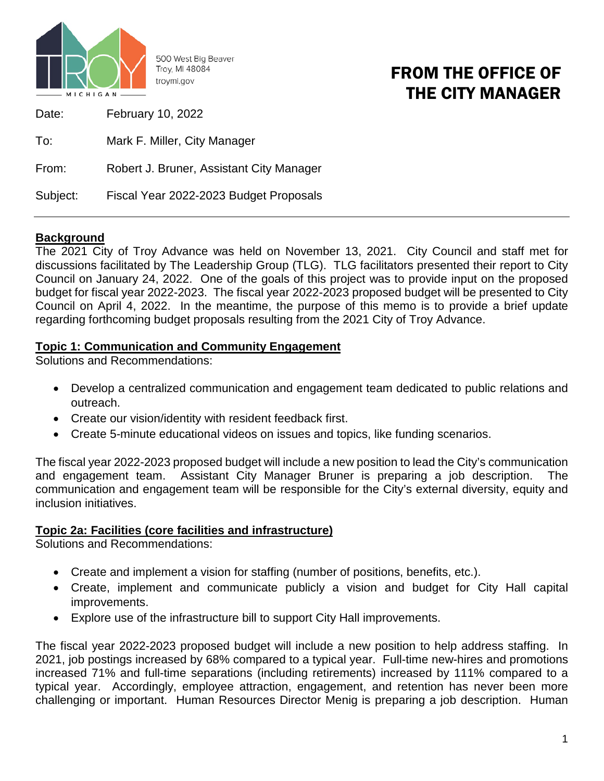

500 West Big Beaver Troy, MI 48084 trovmi.gov

## FROM THE OFFICE OF THE CITY MANAGER

| Date:    | <b>February 10, 2022</b>                 |
|----------|------------------------------------------|
| To:      | Mark F. Miller, City Manager             |
| From:    | Robert J. Bruner, Assistant City Manager |
| Subject: | Fiscal Year 2022-2023 Budget Proposals   |

### **Background**

The 2021 City of Troy Advance was held on November 13, 2021. City Council and staff met for discussions facilitated by The Leadership Group (TLG). TLG facilitators presented their report to City Council on January 24, 2022. One of the goals of this project was to provide input on the proposed budget for fiscal year 2022-2023. The fiscal year 2022-2023 proposed budget will be presented to City Council on April 4, 2022. In the meantime, the purpose of this memo is to provide a brief update regarding forthcoming budget proposals resulting from the 2021 City of Troy Advance.

#### **Topic 1: Communication and Community Engagement**

Solutions and Recommendations:

- Develop a centralized communication and engagement team dedicated to public relations and outreach.
- Create our vision/identity with resident feedback first.
- Create 5-minute educational videos on issues and topics, like funding scenarios.

The fiscal year 2022-2023 proposed budget will include a new position to lead the City's communication and engagement team. Assistant City Manager Bruner is preparing a job description. The communication and engagement team will be responsible for the City's external diversity, equity and inclusion initiatives.

#### **Topic 2a: Facilities (core facilities and infrastructure)**

Solutions and Recommendations:

- Create and implement a vision for staffing (number of positions, benefits, etc.).
- Create, implement and communicate publicly a vision and budget for City Hall capital improvements.
- Explore use of the infrastructure bill to support City Hall improvements.

The fiscal year 2022-2023 proposed budget will include a new position to help address staffing. In 2021, job postings increased by 68% compared to a typical year. Full-time new-hires and promotions increased 71% and full-time separations (including retirements) increased by 111% compared to a typical year. Accordingly, employee attraction, engagement, and retention has never been more challenging or important. Human Resources Director Menig is preparing a job description. Human